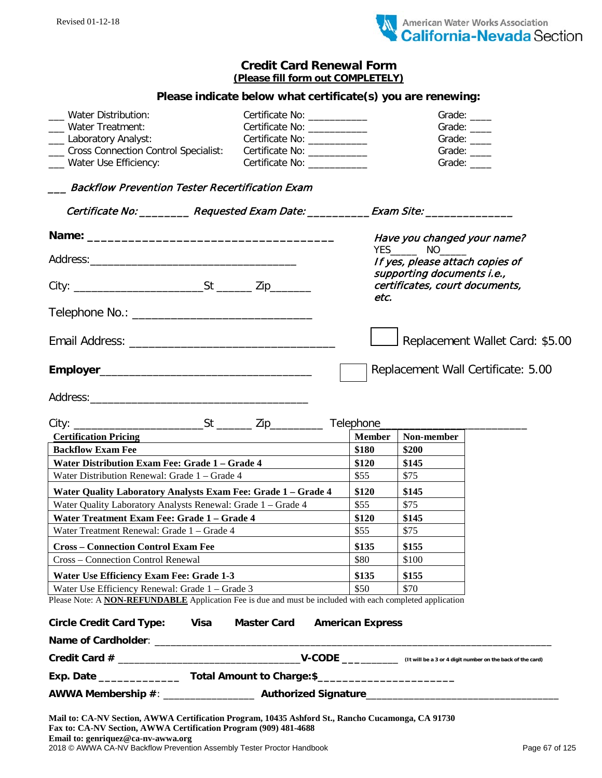

## **Credit Card Renewal Form (Please fill form out COMPLETELY)**

## **Please indicate below what certificate(s) you are renewing:**

| <b>Water Distribution:</b>               | Certificate No: ____________                                                                                                                                                                                                   | Grade: ____ |
|------------------------------------------|--------------------------------------------------------------------------------------------------------------------------------------------------------------------------------------------------------------------------------|-------------|
| Water Treatment:                         | Certificate No: ____________                                                                                                                                                                                                   | Grade: ____ |
| ___ Laboratory Analyst:                  | Certificate No: The Control of the Control of the Control of the Control of the Control of the Control of the C                                                                                                                | Grade: ____ |
| ___ Cross Connection Control Specialist: | Certificate No: <u>_______________</u>                                                                                                                                                                                         | Grade: ____ |
| ___ Water Use Efficiency:                | Certificate No: The Control of the Control of the Control of the Control of the Control of the Control of the Control of the Control of the Control of the Control of the Control of the Control of the Control of the Control | Grade:      |

## \_\_\_ Backflow Prevention Tester Recertification Exam

|                                                               |                                                                                                                  |                         | Certificate No: _________ Requested Exam Date: __________Exam Site: ____________ |                                    |  |
|---------------------------------------------------------------|------------------------------------------------------------------------------------------------------------------|-------------------------|----------------------------------------------------------------------------------|------------------------------------|--|
|                                                               |                                                                                                                  |                         | Have you changed your name?                                                      |                                    |  |
|                                                               |                                                                                                                  |                         |                                                                                  |                                    |  |
|                                                               |                                                                                                                  |                         | If yes, please attach copies of<br>supporting documents i.e.,                    |                                    |  |
|                                                               |                                                                                                                  |                         | certificates, court documents,                                                   |                                    |  |
|                                                               |                                                                                                                  | etc.                    |                                                                                  |                                    |  |
|                                                               |                                                                                                                  |                         |                                                                                  |                                    |  |
|                                                               |                                                                                                                  |                         |                                                                                  |                                    |  |
|                                                               |                                                                                                                  |                         |                                                                                  | Replacement Wallet Card: \$5.00    |  |
|                                                               |                                                                                                                  |                         |                                                                                  | Replacement Wall Certificate: 5.00 |  |
|                                                               |                                                                                                                  |                         |                                                                                  |                                    |  |
|                                                               |                                                                                                                  |                         |                                                                                  |                                    |  |
|                                                               |                                                                                                                  |                         |                                                                                  |                                    |  |
|                                                               |                                                                                                                  |                         |                                                                                  |                                    |  |
| <b>Certification Pricing</b><br><b>Backflow Exam Fee</b>      |                                                                                                                  | <b>Member</b><br>\$180  | Non-member<br>\$200                                                              |                                    |  |
| Water Distribution Exam Fee: Grade 1 - Grade 4                |                                                                                                                  | \$120                   | \$145                                                                            |                                    |  |
| Water Distribution Renewal: Grade 1 - Grade 4                 |                                                                                                                  | \$55                    | \$75                                                                             |                                    |  |
| Water Quality Laboratory Analysts Exam Fee: Grade 1 - Grade 4 |                                                                                                                  | \$120                   | \$145                                                                            |                                    |  |
| Water Quality Laboratory Analysts Renewal: Grade 1 - Grade 4  |                                                                                                                  | \$55                    | \$75                                                                             |                                    |  |
| Water Treatment Exam Fee: Grade 1 - Grade 4                   |                                                                                                                  | \$120                   | \$145                                                                            |                                    |  |
| Water Treatment Renewal: Grade 1 - Grade 4                    |                                                                                                                  | \$55                    | \$75                                                                             |                                    |  |
| <b>Cross - Connection Control Exam Fee</b>                    |                                                                                                                  | \$135                   | \$155                                                                            |                                    |  |
| Cross – Connection Control Renewal                            |                                                                                                                  | \$80                    | \$100                                                                            |                                    |  |
| Water Use Efficiency Exam Fee: Grade 1-3                      |                                                                                                                  | \$135                   | \$155                                                                            |                                    |  |
| Water Use Efficiency Renewal: Grade 1 – Grade 3               |                                                                                                                  | \$50                    | \$70                                                                             |                                    |  |
|                                                               | Please Note: A <b>NON-REFUNDABLE</b> Application Fee is due and must be included with each completed application |                         |                                                                                  |                                    |  |
| Circle Credit Card Type: Visa                                 | <b>Master Card</b>                                                                                               | <b>American Express</b> |                                                                                  |                                    |  |
| Name of Cardholder: _________                                 |                                                                                                                  |                         |                                                                                  |                                    |  |
|                                                               |                                                                                                                  |                         |                                                                                  |                                    |  |
|                                                               |                                                                                                                  |                         |                                                                                  |                                    |  |
|                                                               |                                                                                                                  |                         |                                                                                  |                                    |  |

**Email to: genriquez@ca-nv-awwa.org** 

2018 © AWWA CA-NV Backflow Prevention Assembly Tester Proctor Handbook Page 67 of 125